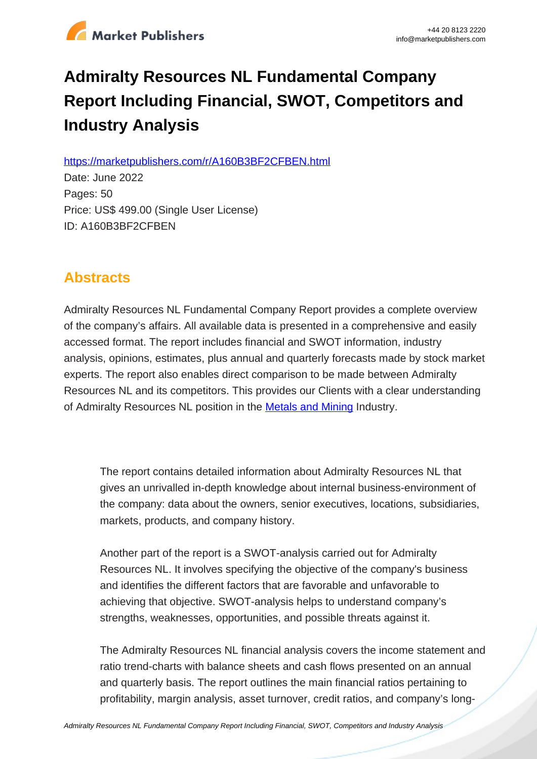

# **Admiralty Resources NL Fundamental Company Report Including Financial, SWOT, Competitors and Industry Analysis**

https://marketpublishers.com/r/A160B3BF2CFBEN.html

Date: June 2022 Pages: 50 Price: US\$ 499.00 (Single User License) ID: A160B3BF2CFBEN

# **Abstracts**

Admiralty Resources NL Fundamental Company Report provides a complete overview of the company's affairs. All available data is presented in a comprehensive and easily accessed format. The report includes financial and SWOT information, industry analysis, opinions, estimates, plus annual and quarterly forecasts made by stock market experts. The report also enables direct comparison to be made between Admiralty Resources NL and its competitors. This provides our Clients with a clear understanding of Admiralty Resources NL position in the **Metals and Mining Industry.** 

The report contains detailed information about Admiralty Resources NL that gives an unrivalled in-depth knowledge about internal business-environment of the company: data about the owners, senior executives, locations, subsidiaries, markets, products, and company history.

Another part of the report is a SWOT-analysis carried out for Admiralty Resources NL. It involves specifying the objective of the company's business and identifies the different factors that are favorable and unfavorable to achieving that objective. SWOT-analysis helps to understand company's strengths, weaknesses, opportunities, and possible threats against it.

The Admiralty Resources NL financial analysis covers the income statement and ratio trend-charts with balance sheets and cash flows presented on an annual and quarterly basis. The report outlines the main financial ratios pertaining to profitability, margin analysis, asset turnover, credit ratios, and company's long-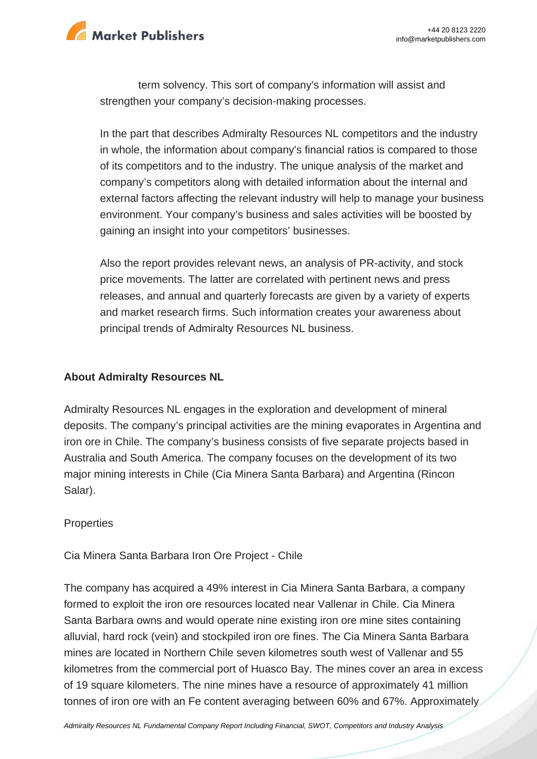

term solvency. This sort of company's information will assist and strengthen your company's decision-making processes.

In the part that describes Admiralty Resources NL competitors and the industry in whole, the information about company's financial ratios is compared to those of its competitors and to the industry. The unique analysis of the market and company's competitors along with detailed information about the internal and external factors affecting the relevant industry will help to manage your business environment. Your company's business and sales activities will be boosted by gaining an insight into your competitors' businesses.

Also the report provides relevant news, an analysis of PR-activity, and stock price movements. The latter are correlated with pertinent news and press releases, and annual and quarterly forecasts are given by a variety of experts and market research firms. Such information creates your awareness about principal trends of Admiralty Resources NL business.

#### **About Admiralty Resources NL**

Admiralty Resources NL engages in the exploration and development of mineral deposits. The company's principal activities are the mining evaporates in Argentina and iron ore in Chile. The company's business consists of five separate projects based in Australia and South America. The company focuses on the development of its two major mining interests in Chile (Cia Minera Santa Barbara) and Argentina (Rincon Salar).

#### **Properties**

Cia Minera Santa Barbara Iron Ore Project - Chile

The company has acquired a 49% interest in Cia Minera Santa Barbara, a company formed to exploit the iron ore resources located near Vallenar in Chile. Cia Minera Santa Barbara owns and would operate nine existing iron ore mine sites containing alluvial, hard rock (vein) and stockpiled iron ore fines. The Cia Minera Santa Barbara mines are located in Northern Chile seven kilometres south west of Vallenar and 55 kilometres from the commercial port of Huasco Bay. The mines cover an area in excess of 19 square kilometers. The nine mines have a resource of approximately 41 million tonnes of iron ore with an Fe content averaging between 60% and 67%. Approximately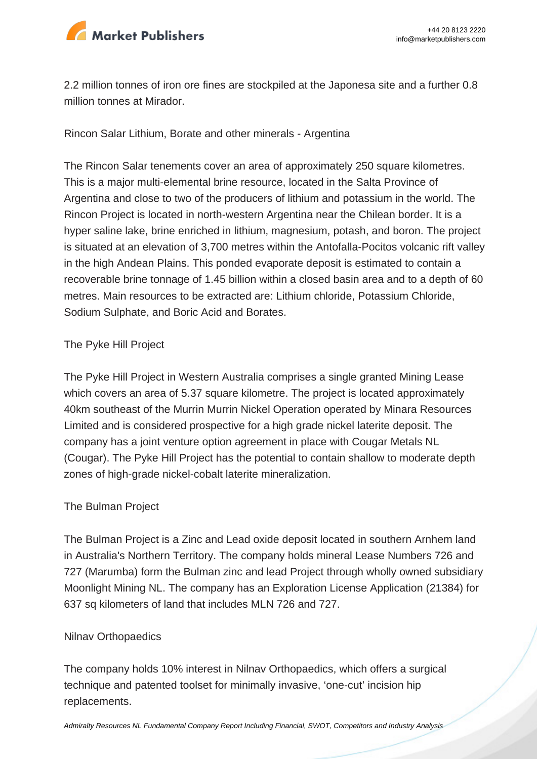

2.2 million tonnes of iron ore fines are stockpiled at the Japonesa site and a further 0.8 million tonnes at Mirador.

Rincon Salar Lithium, Borate and other minerals - Argentina

The Rincon Salar tenements cover an area of approximately 250 square kilometres. This is a major multi-elemental brine resource, located in the Salta Province of Argentina and close to two of the producers of lithium and potassium in the world. The Rincon Project is located in north-western Argentina near the Chilean border. It is a hyper saline lake, brine enriched in lithium, magnesium, potash, and boron. The project is situated at an elevation of 3,700 metres within the Antofalla-Pocitos volcanic rift valley in the high Andean Plains. This ponded evaporate deposit is estimated to contain a recoverable brine tonnage of 1.45 billion within a closed basin area and to a depth of 60 metres. Main resources to be extracted are: Lithium chloride, Potassium Chloride, Sodium Sulphate, and Boric Acid and Borates.

#### The Pyke Hill Project

The Pyke Hill Project in Western Australia comprises a single granted Mining Lease which covers an area of 5.37 square kilometre. The project is located approximately 40km southeast of the Murrin Murrin Nickel Operation operated by Minara Resources Limited and is considered prospective for a high grade nickel laterite deposit. The company has a joint venture option agreement in place with Cougar Metals NL (Cougar). The Pyke Hill Project has the potential to contain shallow to moderate depth zones of high-grade nickel-cobalt laterite mineralization.

#### The Bulman Project

The Bulman Project is a Zinc and Lead oxide deposit located in southern Arnhem land in Australia's Northern Territory. The company holds mineral Lease Numbers 726 and 727 (Marumba) form the Bulman zinc and lead Project through wholly owned subsidiary Moonlight Mining NL. The company has an Exploration License Application (21384) for 637 sq kilometers of land that includes MLN 726 and 727.

#### Nilnav Orthopaedics

The company holds 10% interest in Nilnav Orthopaedics, which offers a surgical technique and patented toolset for minimally invasive, 'one-cut' incision hip replacements.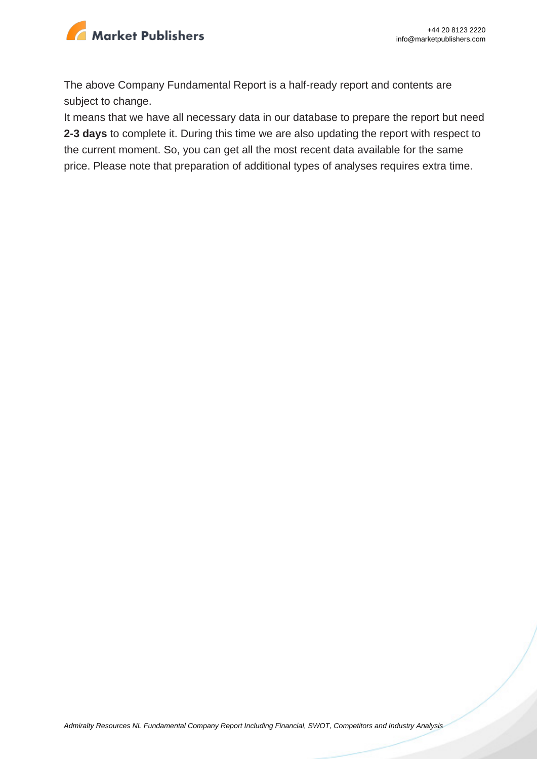

The above Company Fundamental Report is a half-ready report and contents are subject to change.

It means that we have all necessary data in our database to prepare the report but need **2-3 days** to complete it. During this time we are also updating the report with respect to the current moment. So, you can get all the most recent data available for the same price. Please note that preparation of additional types of analyses requires extra time.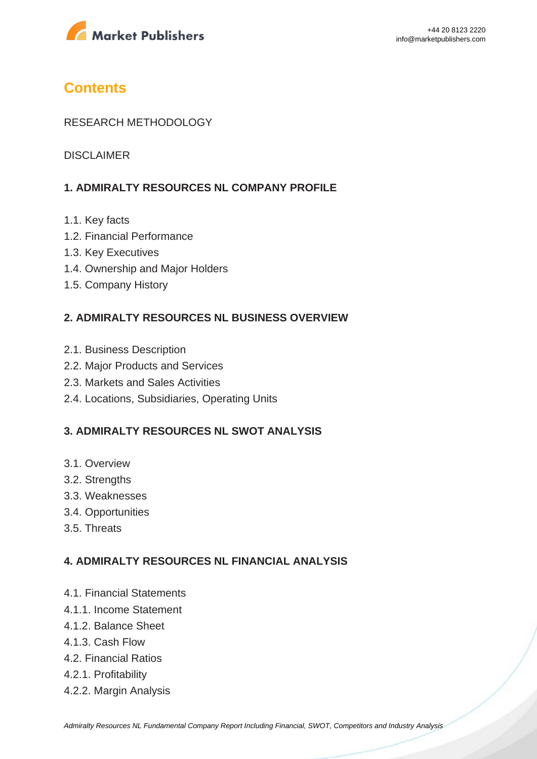

# **Contents**

#### RESEARCH METHODOLOGY

DISCLAIMER

#### **1. ADMIRALTY RESOURCES NL COMPANY PROFILE**

- 1.1. Key facts
- 1.2. Financial Performance
- 1.3. Key Executives
- 1.4. Ownership and Major Holders
- 1.5. Company History

#### **2. ADMIRALTY RESOURCES NL BUSINESS OVERVIEW**

- 2.1. Business Description
- 2.2. Major Products and Services
- 2.3. Markets and Sales Activities
- 2.4. Locations, Subsidiaries, Operating Units

#### **3. ADMIRALTY RESOURCES NL SWOT ANALYSIS**

- 3.1. Overview
- 3.2. Strengths
- 3.3. Weaknesses
- 3.4. Opportunities
- 3.5. Threats

#### **4. ADMIRALTY RESOURCES NL FINANCIAL ANALYSIS**

- 4.1. Financial Statements
- 4.1.1. Income Statement
- 4.1.2. Balance Sheet
- 4.1.3. Cash Flow
- 4.2. Financial Ratios
- 4.2.1. Profitability
- 4.2.2. Margin Analysis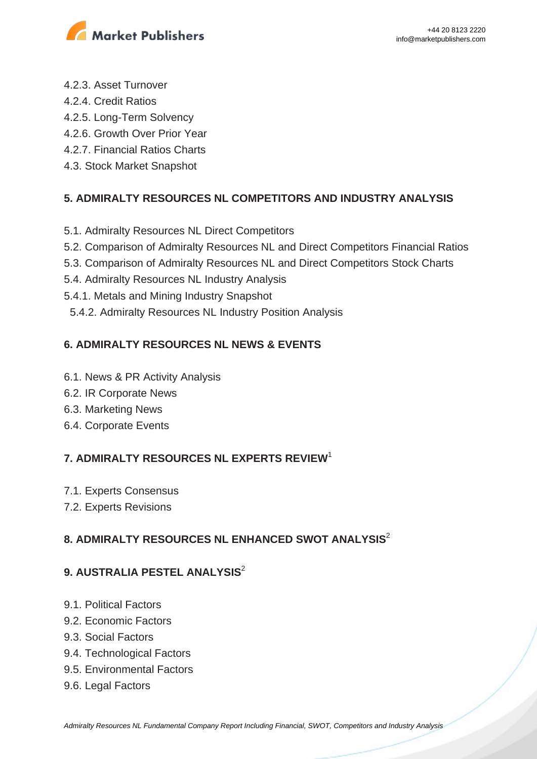

- 4.2.3. Asset Turnover
- 4.2.4. Credit Ratios
- 4.2.5. Long-Term Solvency
- 4.2.6. Growth Over Prior Year
- 4.2.7. Financial Ratios Charts
- 4.3. Stock Market Snapshot

# **5. ADMIRALTY RESOURCES NL COMPETITORS AND INDUSTRY ANALYSIS**

- 5.1. Admiralty Resources NL Direct Competitors
- 5.2. Comparison of Admiralty Resources NL and Direct Competitors Financial Ratios
- 5.3. Comparison of Admiralty Resources NL and Direct Competitors Stock Charts
- 5.4. Admiralty Resources NL Industry Analysis
- 5.4.1. Metals and Mining Industry Snapshot
- 5.4.2. Admiralty Resources NL Industry Position Analysis

# **6. ADMIRALTY RESOURCES NL NEWS & EVENTS**

- 6.1. News & PR Activity Analysis
- 6.2. IR Corporate News
- 6.3. Marketing News
- 6.4. Corporate Events

# **7. ADMIRALTY RESOURCES NL EXPERTS REVIEW**<sup>1</sup>

- 7.1. Experts Consensus
- 7.2. Experts Revisions

### **8. ADMIRALTY RESOURCES NL ENHANCED SWOT ANALYSIS**<sup>2</sup>

### **9. AUSTRALIA PESTEL ANALYSIS**<sup>2</sup>

- 9.1. Political Factors
- 9.2. Economic Factors
- 9.3. Social Factors
- 9.4. Technological Factors
- 9.5. Environmental Factors
- 9.6. Legal Factors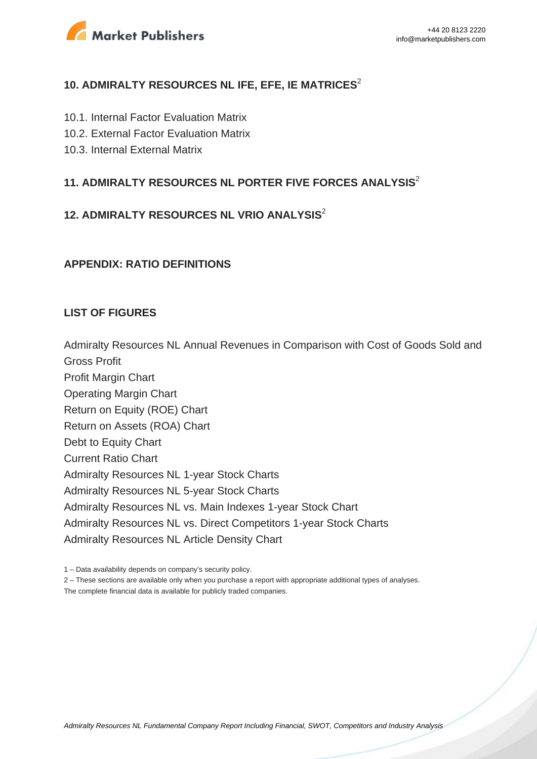

#### **10. ADMIRALTY RESOURCES NL IFE, EFE, IE MATRICES**<sup>2</sup>

- 10.1. Internal Factor Evaluation Matrix
- 10.2. External Factor Evaluation Matrix
- 10.3. Internal External Matrix

### **11. ADMIRALTY RESOURCES NL PORTER FIVE FORCES ANALYSIS**<sup>2</sup>

# **12. ADMIRALTY RESOURCES NL VRIO ANALYSIS**<sup>2</sup>

#### **APPENDIX: RATIO DEFINITIONS**

#### **LIST OF FIGURES**

Admiralty Resources NL Annual Revenues in Comparison with Cost of Goods Sold and Gross Profit Profit Margin Chart Operating Margin Chart Return on Equity (ROE) Chart Return on Assets (ROA) Chart Debt to Equity Chart Current Ratio Chart Admiralty Resources NL 1-year Stock Charts Admiralty Resources NL 5-year Stock Charts Admiralty Resources NL vs. Main Indexes 1-year Stock Chart Admiralty Resources NL vs. Direct Competitors 1-year Stock Charts Admiralty Resources NL Article Density Chart

1 – Data availability depends on company's security policy.

2 – These sections are available only when you purchase a report with appropriate additional types of analyses.

The complete financial data is available for publicly traded companies.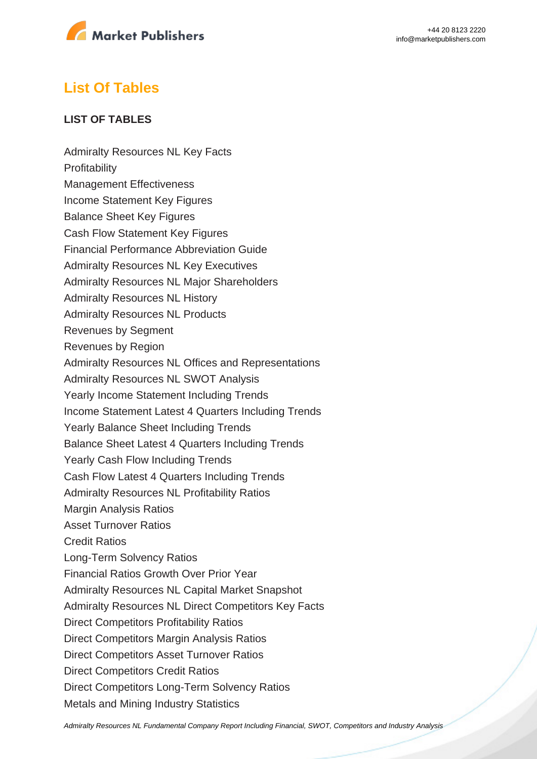

# **List Of Tables**

#### **LIST OF TABLES**

Admiralty Resources NL Key Facts **Profitability** Management Effectiveness Income Statement Key Figures Balance Sheet Key Figures Cash Flow Statement Key Figures Financial Performance Abbreviation Guide Admiralty Resources NL Key Executives Admiralty Resources NL Major Shareholders Admiralty Resources NL History Admiralty Resources NL Products Revenues by Segment Revenues by Region Admiralty Resources NL Offices and Representations Admiralty Resources NL SWOT Analysis Yearly Income Statement Including Trends Income Statement Latest 4 Quarters Including Trends Yearly Balance Sheet Including Trends Balance Sheet Latest 4 Quarters Including Trends Yearly Cash Flow Including Trends Cash Flow Latest 4 Quarters Including Trends Admiralty Resources NL Profitability Ratios Margin Analysis Ratios Asset Turnover Ratios Credit Ratios Long-Term Solvency Ratios Financial Ratios Growth Over Prior Year Admiralty Resources NL Capital Market Snapshot Admiralty Resources NL Direct Competitors Key Facts Direct Competitors Profitability Ratios Direct Competitors Margin Analysis Ratios Direct Competitors Asset Turnover Ratios Direct Competitors Credit Ratios Direct Competitors Long-Term Solvency Ratios Metals and Mining Industry Statistics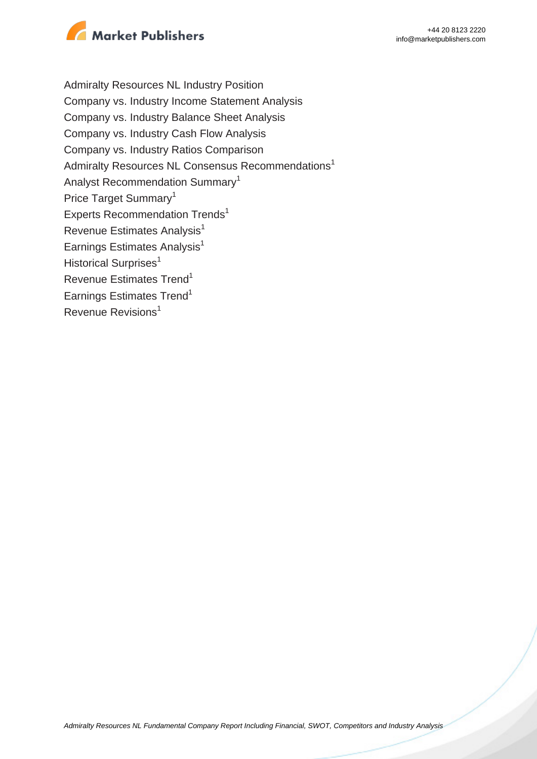

Admiralty Resources NL Industry Position Company vs. Industry Income Statement Analysis Company vs. Industry Balance Sheet Analysis Company vs. Industry Cash Flow Analysis Company vs. Industry Ratios Comparison Admiralty Resources NL Consensus Recommendations<sup>1</sup> Analyst Recommendation Summary<sup>1</sup> Price Target Summary<sup>1</sup> Experts Recommendation Trends<sup>1</sup> Revenue Estimates Analysis<sup>1</sup> Earnings Estimates Analysis $<sup>1</sup>$ </sup> Historical Surprises<sup>1</sup> Revenue Estimates Trend<sup>1</sup> Earnings Estimates Trend<sup>1</sup> Revenue Revisions<sup>1</sup>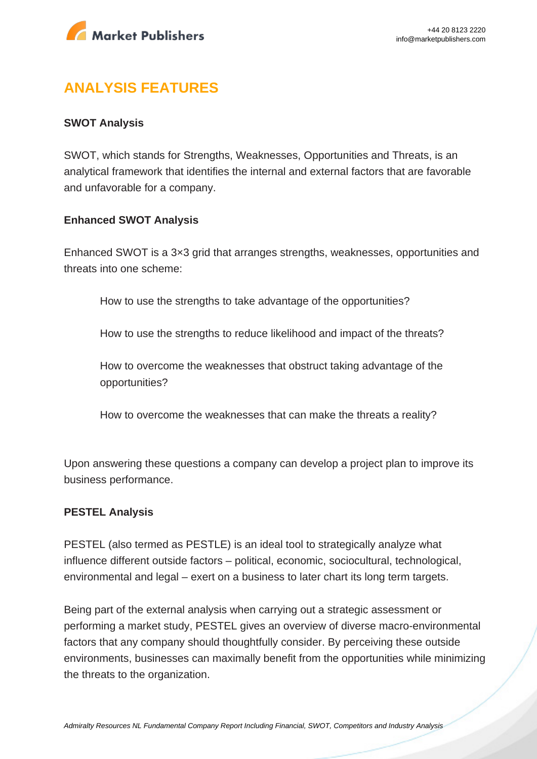

# **ANALYSIS FEATURES**

#### **SWOT Analysis**

SWOT, which stands for Strengths, Weaknesses, Opportunities and Threats, is an analytical framework that identifies the internal and external factors that are favorable and unfavorable for a company.

#### **Enhanced SWOT Analysis**

Enhanced SWOT is a 3×3 grid that arranges strengths, weaknesses, opportunities and threats into one scheme:

How to use the strengths to take advantage of the opportunities?

How to use the strengths to reduce likelihood and impact of the threats?

How to overcome the weaknesses that obstruct taking advantage of the opportunities?

How to overcome the weaknesses that can make the threats a reality?

Upon answering these questions a company can develop a project plan to improve its business performance.

#### **PESTEL Analysis**

PESTEL (also termed as PESTLE) is an ideal tool to strategically analyze what influence different outside factors – political, economic, sociocultural, technological, environmental and legal – exert on a business to later chart its long term targets.

Being part of the external analysis when carrying out a strategic assessment or performing a market study, PESTEL gives an overview of diverse macro-environmental factors that any company should thoughtfully consider. By perceiving these outside environments, businesses can maximally benefit from the opportunities while minimizing the threats to the organization.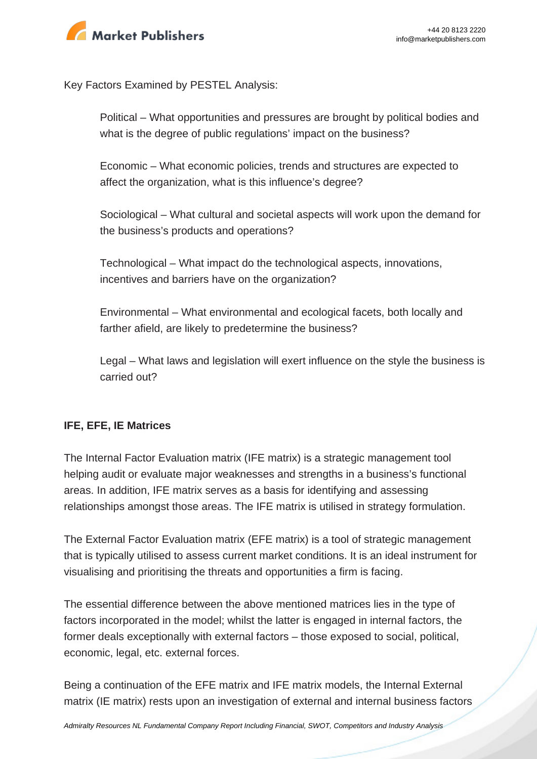

Key Factors Examined by PESTEL Analysis:

Political – What opportunities and pressures are brought by political bodies and what is the degree of public regulations' impact on the business?

Economic – What economic policies, trends and structures are expected to affect the organization, what is this influence's degree?

Sociological – What cultural and societal aspects will work upon the demand for the business's products and operations?

Technological – What impact do the technological aspects, innovations, incentives and barriers have on the organization?

Environmental – What environmental and ecological facets, both locally and farther afield, are likely to predetermine the business?

Legal – What laws and legislation will exert influence on the style the business is carried out?

#### **IFE, EFE, IE Matrices**

The Internal Factor Evaluation matrix (IFE matrix) is a strategic management tool helping audit or evaluate major weaknesses and strengths in a business's functional areas. In addition, IFE matrix serves as a basis for identifying and assessing relationships amongst those areas. The IFE matrix is utilised in strategy formulation.

The External Factor Evaluation matrix (EFE matrix) is a tool of strategic management that is typically utilised to assess current market conditions. It is an ideal instrument for visualising and prioritising the threats and opportunities a firm is facing.

The essential difference between the above mentioned matrices lies in the type of factors incorporated in the model; whilst the latter is engaged in internal factors, the former deals exceptionally with external factors – those exposed to social, political, economic, legal, etc. external forces.

Being a continuation of the EFE matrix and IFE matrix models, the Internal External matrix (IE matrix) rests upon an investigation of external and internal business factors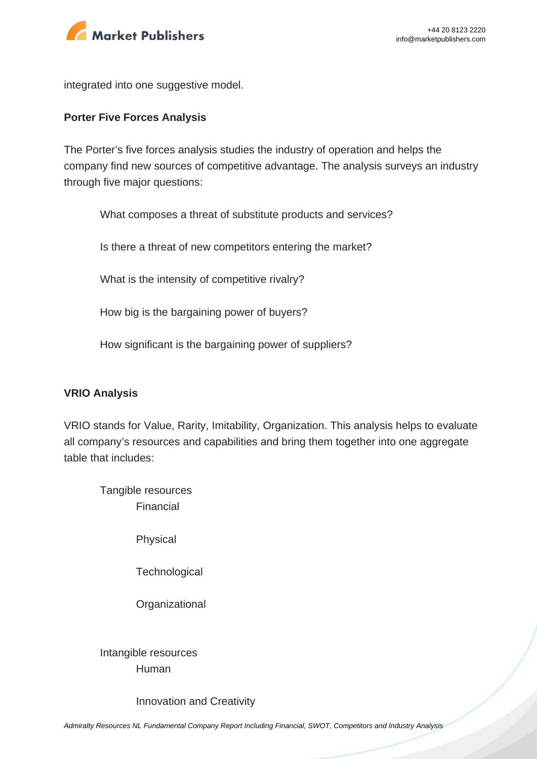

integrated into one suggestive model.

#### **Porter Five Forces Analysis**

The Porter's five forces analysis studies the industry of operation and helps the company find new sources of competitive advantage. The analysis surveys an industry through five major questions:

What composes a threat of substitute products and services?

Is there a threat of new competitors entering the market?

What is the intensity of competitive rivalry?

How big is the bargaining power of buyers?

How significant is the bargaining power of suppliers?

#### **VRIO Analysis**

VRIO stands for Value, Rarity, Imitability, Organization. This analysis helps to evaluate all company's resources and capabilities and bring them together into one aggregate table that includes:

Tangible resources Financial

Physical

**Technological** 

**Organizational** 

Intangible resources Human

Innovation and Creativity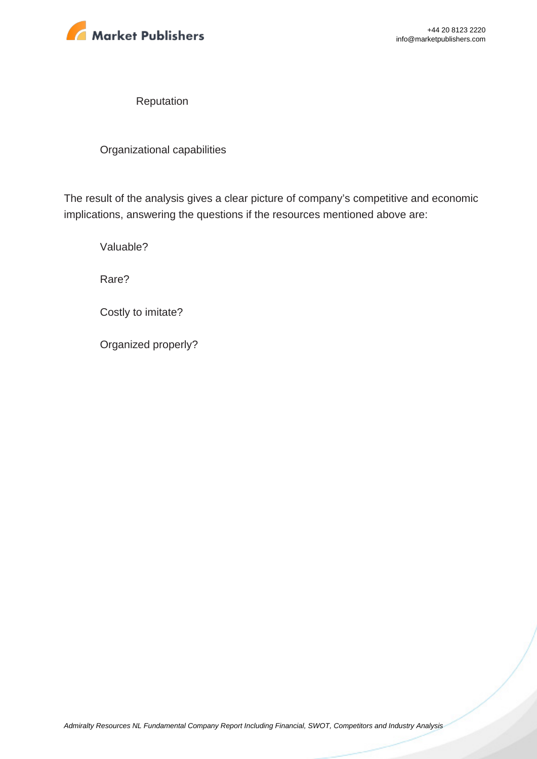

Reputation

Organizational capabilities

The result of the analysis gives a clear picture of company's competitive and economic implications, answering the questions if the resources mentioned above are:

Valuable?

Rare?

Costly to imitate?

Organized properly?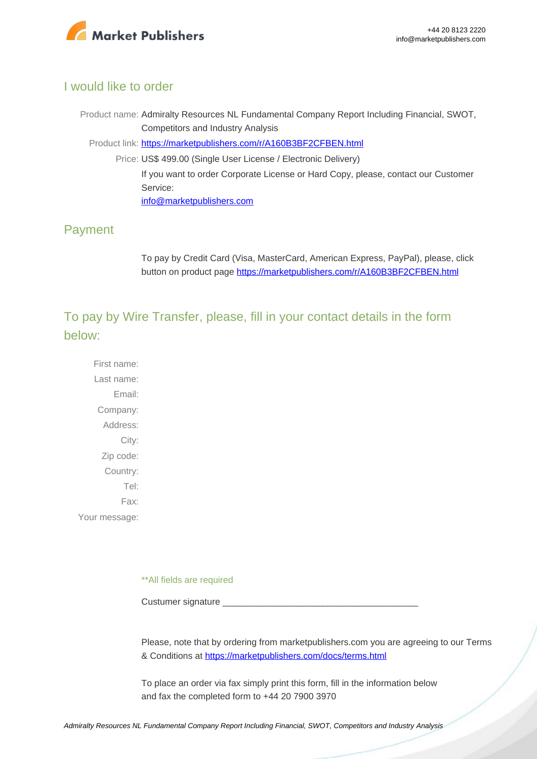

### I would like to order

Product name: Admiralty Resources NL Fundamental Company Report Including Financial, SWOT, Competitors and Industry Analysis Product link: [https://marketpublishers.com/r/A160B3BF2CFBEN.html](https://marketpublishers.com/report/industry/metallurgy/admiralty_resources_nl_swot_analysis_bac.html) Price: US\$ 499.00 (Single User License / Electronic Delivery)

> If you want to order Corporate License or Hard Copy, please, contact our Customer Service:

[info@marketpublishers.com](mailto:info@marketpublishers.com)

# Payment

To pay by Credit Card (Visa, MasterCard, American Express, PayPal), please, click button on product page [https://marketpublishers.com/r/A160B3BF2CFBEN.html](https://marketpublishers.com/report/industry/metallurgy/admiralty_resources_nl_swot_analysis_bac.html)

To pay by Wire Transfer, please, fill in your contact details in the form below:

First name: Last name: Email: Company: Address: City: Zip code: Country: Tel: Fax: Your message:

\*\*All fields are required

Custumer signature

Please, note that by ordering from marketpublishers.com you are agreeing to our Terms & Conditions at<https://marketpublishers.com/docs/terms.html>

To place an order via fax simply print this form, fill in the information below and fax the completed form to +44 20 7900 3970